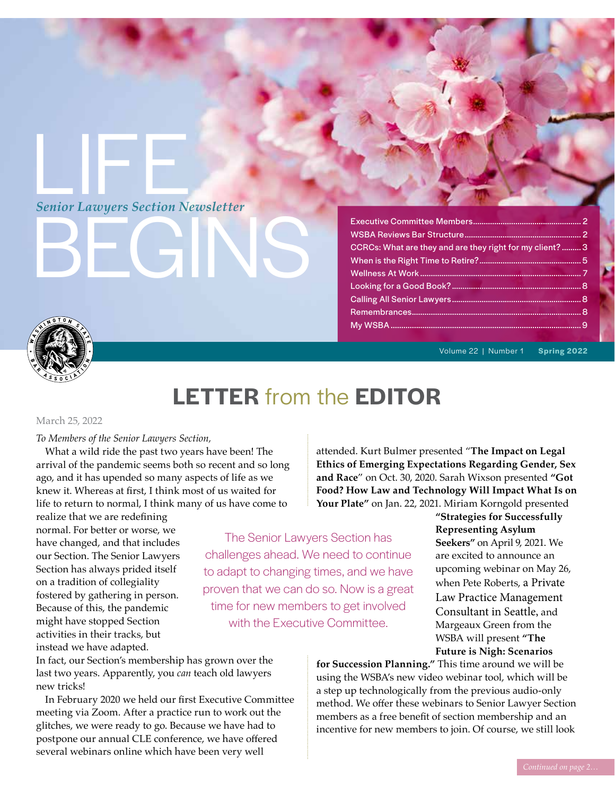# LIFE *Senior Lawyers Section Newsletter*

BEGINS

# Executive Committee Members................................................... 2 WSBA Reviews Bar Structure....................................................... 2 CCRCs: What are they and are they right for my client? ......... 3 When is the Right Time to Retire?................................................ 5 Wellness At Work ............................................................................ 7 Looking for a Good Book?............................................................. 8 Calling All Senior Lawyers............................................................. 8 Remembrances................................................................................ 8 My WSBA..........................................................................................9



Volume 22 | Number 1 **Spring 2022**

# **LETTER** from the **EDITOR**

# March 25, 2022

# *To Members of the Senior Lawyers Section,*

What a wild ride the past two years have been! The arrival of the pandemic seems both so recent and so long ago, and it has upended so many aspects of life as we knew it. Whereas at first, I think most of us waited for life to return to normal, I think many of us have come to

realize that we are redefining normal. For better or worse, we have changed, and that includes our Section. The Senior Lawyers Section has always prided itself on a tradition of collegiality fostered by gathering in person. Because of this, the pandemic might have stopped Section activities in their tracks, but instead we have adapted.

The Senior Lawyers Section has challenges ahead. We need to continue to adapt to changing times, and we have proven that we can do so. Now is a great time for new members to get involved with the Executive Committee.

**"Strategies for Successfully Representing Asylum Seekers"** on April 9, 2021. We are excited to announce an upcoming webinar on May 26, when Pete Roberts, a Private Law Practice Management Consultant in Seattle, and Margeaux Green from the WSBA will present **"The Future is Nigh: Scenarios** 

In fact, our Section's membership has grown over the last two years. Apparently, you *can* teach old lawyers new tricks!

In February 2020 we held our first Executive Committee meeting via Zoom. After a practice run to work out the glitches, we were ready to go. Because we have had to postpone our annual CLE conference, we have offered several webinars online which have been very well

**for Succession Planning."** This time around we will be using the WSBA's new video webinar tool, which will be a step up technologically from the previous audio-only method. We offer these webinars to Senior Lawyer Section members as a free benefit of section membership and an incentive for new members to join. Of course, we still look

attended. Kurt Bulmer presented "**The Impact on Legal Ethics of Emerging Expectations Regarding Gender, Sex and Race**" on Oct. 30, 2020. Sarah Wixson presented **"Got Food? How Law and Technology Will Impact What Is on Your Plate"** on Jan. 22, 2021. Miriam Korngold presented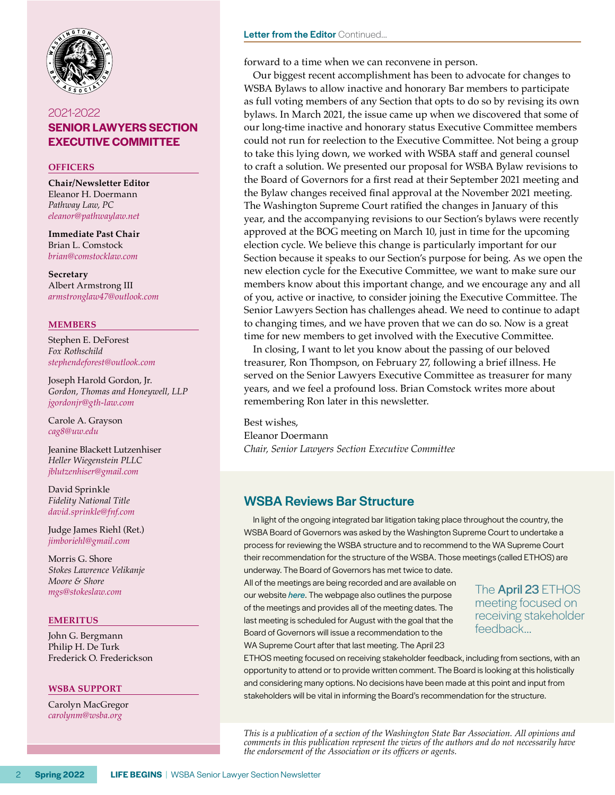

# 2021-2022 **[SENIOR LAWYERS SECTION](http://www.wsba.org/Legal-Community/Sections/Senior-Lawyers-Section) [EXECUTIVE COMMITTEE](http://www.wsba.org/Legal-Community/Sections/Senior-Lawyers-Section)**

## **OFFICERS**

**Chair/Newsletter Editor** Eleanor H. Doermann *Pathway Law, PC [eleanor@pathwaylaw.net](mailto:eleanor%40pathwaylaw.net%20?subject=)*

**Immediate Past Chair** Brian L. Comstock *[brian@comstocklaw.com](mailto:brian%40comstocklaw.com?subject=)*

**Secretary** Albert Armstrong III *[armstronglaw47@outlook.com](mailto:armstronglaw47%40outlook.com?subject=)*

## **MEMBERS**

Stephen E. DeForest *Fox Rothschild [stephendeforest@outlook.com](mailto:%20stephendeforest%40outlook.com?subject=)* 

Joseph Harold Gordon, Jr. *Gordon, Thomas and Honeywell, LLP [jgordonjr@gth-law.com](mailto:jgordonjr%40gth-law.com?subject=)*

Carole A. Grayson *[cag8@uw.edu](mailto:cag8%40uw.edu?subject=)*

Jeanine Blackett Lutzenhiser *Heller Wiegenstein PLLC [jblutzenhiser@gmail.com](mailto:jblutzenhiser%40gmail.com?subject=)*

David Sprinkle *Fidelity National Title [david.sprinkle@fnf.com](mailto:david.sprinkle%40fnf.com?subject=)* 

Judge James Riehl (Ret.) *[jimboriehl@gmail.com](mailto:jimboriehl%40gmail.com?subject=)*

Morris G. Shore *Stokes Lawrence Velikanje Moore & Shore [mgs@stokeslaw.com](mailto:mgs%40stokeslaw.com?subject=)*

## **EMERITUS**

John G. Bergmann Philip H. De Turk Frederick O. Frederickson

#### **WSBA SUPPORT**

Carolyn MacGregor *[carolynm@wsba.org](mailto:carolynm%40wsba.org?subject=)*

## Letter from the Editor Continued...

forward to a time when we can reconvene in person.

Our biggest recent accomplishment has been to advocate for changes to WSBA Bylaws to allow inactive and honorary Bar members to participate as full voting members of any Section that opts to do so by revising its own bylaws. In March 2021, the issue came up when we discovered that some of our long-time inactive and honorary status Executive Committee members could not run for reelection to the Executive Committee. Not being a group to take this lying down, we worked with WSBA staff and general counsel to craft a solution. We presented our proposal for WSBA Bylaw revisions to the Board of Governors for a first read at their September 2021 meeting and the Bylaw changes received final approval at the November 2021 meeting. The Washington Supreme Court ratified the changes in January of this year, and the accompanying revisions to our Section's bylaws were recently approved at the BOG meeting on March 10, just in time for the upcoming election cycle. We believe this change is particularly important for our Section because it speaks to our Section's purpose for being. As we open the new election cycle for the Executive Committee, we want to make sure our members know about this important change, and we encourage any and all of you, active or inactive, to consider joining the Executive Committee. The Senior Lawyers Section has challenges ahead. We need to continue to adapt to changing times, and we have proven that we can do so. Now is a great time for new members to get involved with the Executive Committee.

In closing, I want to let you know about the passing of our beloved treasurer, Ron Thompson, on February 27, following a brief illness. He served on the Senior Lawyers Executive Committee as treasurer for many years, and we feel a profound loss. Brian Comstock writes more about remembering Ron later in this newsletter.

Best wishes, Eleanor Doermann *Chair, Senior Lawyers Section Executive Committee*

# WSBA Reviews Bar Structure

In light of the ongoing integrated bar litigation taking place throughout the country, the WSBA Board of Governors was asked by the Washington Supreme Court to undertake a process for reviewing the WSBA structure and to recommend to the WA Supreme Court their recommendation for the structure of the WSBA. Those meetings (called ETHOS) are underway. The Board of Governors has met twice to date.

All of the meetings are being recorded and are available on our website *[here](https://www.wsba.org/about-wsba/who-we-are/board-of-governors)*. The webpage also outlines the purpose of the meetings and provides all of the meeting dates. The last meeting is scheduled for August with the goal that the Board of Governors will issue a recommendation to the WA Supreme Court after that last meeting. The April 23

The **April 23 ETHOS** meeting focused on receiving stakeholder feedback…

ETHOS meeting focused on receiving stakeholder feedback, including from sections, with an opportunity to attend or to provide written comment. The Board is looking at this holistically and considering many options. No decisions have been made at this point and input from stakeholders will be vital in informing the Board's recommendation for the structure.

*This is a publication of a section of the Washington State Bar Association. All opinions and comments in this publication represent the views of the authors and do not necessarily have the endorsement of the Association or its officers or agents.*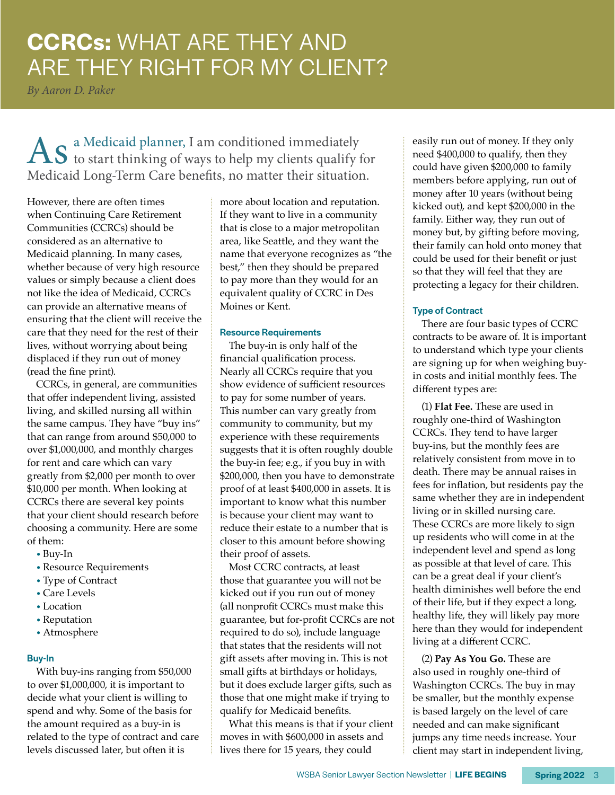# **CCRCs:** WHAT ARE THEY AND ARE THEY RIGHT FOR MY CLIENT?

*By Aaron D. Paker*

As a Medicaid planner, I am conditioned immediately<br>to start thinking of ways to help my clients qualify for Medicaid Long-Term Care benefits, no matter their situation.

However, there are often times when Continuing Care Retirement Communities (CCRCs) should be considered as an alternative to Medicaid planning. In many cases, whether because of very high resource values or simply because a client does not like the idea of Medicaid, CCRCs can provide an alternative means of ensuring that the client will receive the care that they need for the rest of their lives, without worrying about being displaced if they run out of money (read the fine print).

CCRCs, in general, are communities that offer independent living, assisted living, and skilled nursing all within the same campus. They have "buy ins" that can range from around \$50,000 to over \$1,000,000, and monthly charges for rent and care which can vary greatly from \$2,000 per month to over \$10,000 per month. When looking at CCRCs there are several key points that your client should research before choosing a community. Here are some of them:

- Buy-In
- Resource Requirements
- Type of Contract
- Care Levels
- Location
- Reputation
- Atmosphere

# Buy-In

With buy-ins ranging from \$50,000 to over \$1,000,000, it is important to decide what your client is willing to spend and why. Some of the basis for the amount required as a buy-in is related to the type of contract and care levels discussed later, but often it is

more about location and reputation. If they want to live in a community that is close to a major metropolitan area, like Seattle, and they want the name that everyone recognizes as "the best," then they should be prepared to pay more than they would for an equivalent quality of CCRC in Des Moines or Kent.

## Resource Requirements

The buy-in is only half of the financial qualification process. Nearly all CCRCs require that you show evidence of sufficient resources to pay for some number of years. This number can vary greatly from community to community, but my experience with these requirements suggests that it is often roughly double the buy-in fee; e.g., if you buy in with \$200,000, then you have to demonstrate proof of at least \$400,000 in assets. It is important to know what this number is because your client may want to reduce their estate to a number that is closer to this amount before showing their proof of assets.

Most CCRC contracts, at least those that guarantee you will not be kicked out if you run out of money (all nonprofit CCRCs must make this guarantee, but for-profit CCRCs are not required to do so), include language that states that the residents will not gift assets after moving in. This is not small gifts at birthdays or holidays, but it does exclude larger gifts, such as those that one might make if trying to qualify for Medicaid benefits.

What this means is that if your client moves in with \$600,000 in assets and lives there for 15 years, they could

easily run out of money. If they only need \$400,000 to qualify, then they could have given \$200,000 to family members before applying, run out of money after 10 years (without being kicked out), and kept \$200,000 in the family. Either way, they run out of money but, by gifting before moving, their family can hold onto money that could be used for their benefit or just so that they will feel that they are protecting a legacy for their children.

# Type of Contract

There are four basic types of CCRC contracts to be aware of. It is important to understand which type your clients are signing up for when weighing buyin costs and initial monthly fees. The different types are:

(1) **Flat Fee.** These are used in roughly one-third of Washington CCRCs. They tend to have larger buy-ins, but the monthly fees are relatively consistent from move in to death. There may be annual raises in fees for inflation, but residents pay the same whether they are in independent living or in skilled nursing care. These CCRCs are more likely to sign up residents who will come in at the independent level and spend as long as possible at that level of care. This can be a great deal if your client's health diminishes well before the end of their life, but if they expect a long, healthy life, they will likely pay more here than they would for independent living at a different CCRC.

(2) **Pay As You Go.** These are also used in roughly one-third of Washington CCRCs. The buy in may be smaller, but the monthly expense is based largely on the level of care needed and can make significant jumps any time needs increase. Your client may start in independent living,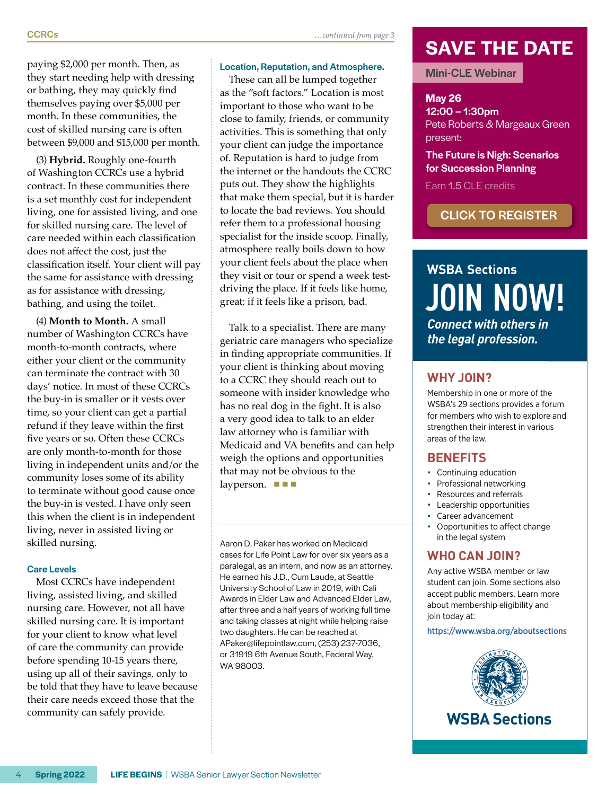(3) **Hybrid.** Roughly one-fourth of Washington CCRCs use a hybrid contract. In these communities there is a set monthly cost for independent living, one for assisted living, and one for skilled nursing care. The level of care needed within each classification does not affect the cost, just the classification itself. Your client will pay the same for assistance with dressing as for assistance with dressing, bathing, and using the toilet.

(4) **Month to Month.** A small number of Washington CCRCs have month-to-month contracts, where either your client or the community can terminate the contract with 30 days' notice. In most of these CCRCs the buy-in is smaller or it vests over time, so your client can get a partial refund if they leave within the first five years or so. Often these CCRCs are only month-to-month for those living in independent units and/or the community loses some of its ability to terminate without good cause once the buy-in is vested. I have only seen this when the client is in independent living, never in assisted living or skilled nursing.

## Care Levels

Most CCRCs have independent living, assisted living, and skilled nursing care. However, not all have skilled nursing care. It is important for your client to know what level of care the community can provide before spending 10-15 years there, using up all of their savings, only to be told that they have to leave because their care needs exceed those that the community can safely provide.

Location, Reputation, and Atmosphere. These can all be lumped together as the "soft factors." Location is most important to those who want to be close to family, friends, or community activities. This is something that only your client can judge the importance of. Reputation is hard to judge from the internet or the handouts the CCRC puts out. They show the highlights that make them special, but it is harder to locate the bad reviews. You should refer them to a professional housing specialist for the inside scoop. Finally, atmosphere really boils down to how your client feels about the place when they visit or tour or spend a week testdriving the place. If it feels like home, great; if it feels like a prison, bad.

Talk to a specialist. There are many geriatric care managers who specialize in finding appropriate communities. If your client is thinking about moving to a CCRC they should reach out to someone with insider knowledge who has no real dog in the fight. It is also a very good idea to talk to an elder law attorney who is familiar with Medicaid and VA benefits and can help weigh the options and opportunities that may not be obvious to the

layperson.  $\blacksquare$   $\blacksquare$ 

WA 98003.

Aaron D. Paker has worked on Medicaid cases for Life Point Law for over six years as a paralegal, as an intern, and now as an attorney. He earned his J.D., Cum Laude, at Seattle University School of Law in 2019, with Cali Awards in Elder Law and Advanced Elder Law, after three and a half years of working full time and taking classes at night while helping raise two daughters. He can be reached at APaker@lifepointlaw.com, (253) 237-7036, or 31919 6th Avenue South, Federal Way,

# **SAVE THE DATE**

# Mini-CLE Webinar

# **May 26**

12:00 – 1:30pm Pete Roberts & Margeaux Green present:

# The Future is Nigh: Scenarios for Succession Planning

Earn 1.5 CLE credits

# [CLICK TO REGISTER](https://www.mywsba.org/PersonifyEbusiness/Default.aspx?TabID=1356&productId=21155077
)

# *Connect with others in the legal profession.* **WSBA Sections JOIN NOW!**

# **WHY JOIN?**

Membership in one or more of the WSBA's 29 sections provides a forum for members who wish to explore and strengthen their interest in various areas of the law.

# **BENEFITS**

- Continuing education
- Professional networking
- Resources and referrals
- Leadership opportunities
- Career advancement
- Opportunities to affect change in the legal system

# **WHO CAN JOIN?**

Any active WSBA member or law student can join. Some sections also accept public members. Learn more about membership eligibility and join today at:

#### https://www.wsba.org/aboutsections

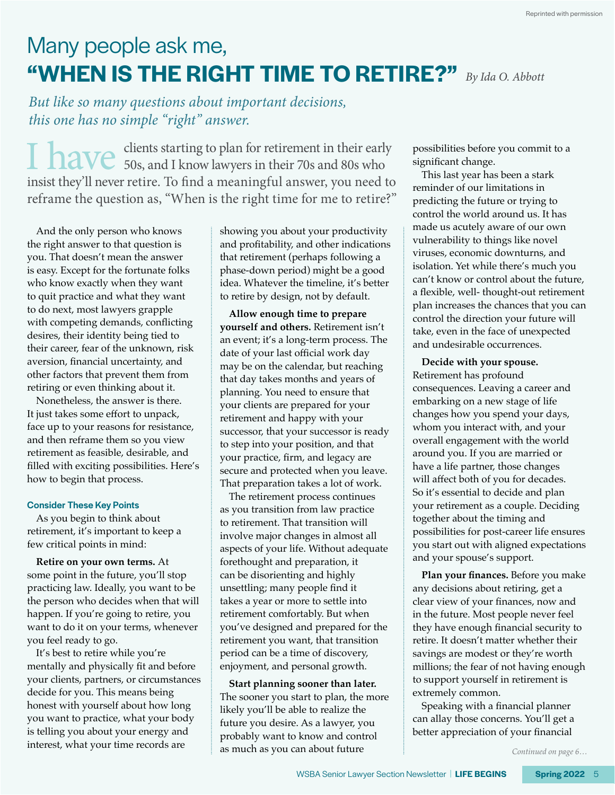# Many people ask me, **"WHEN IS THE RIGHT TIME TO RETIRE?"** *By Ida O. Abbott*

*But like so many questions about important decisions, this one has no simple "right" answer.* 

I have clients starting to plan for retirement in their early<br>  $\frac{1}{2}$  50s, and I know lawyers in their 70s and 80s who insist they'll never retire. To find a meaningful answer, you need to reframe the question as, "When is the right time for me to retire?"

And the only person who knows the right answer to that question is you. That doesn't mean the answer is easy. Except for the fortunate folks who know exactly when they want to quit practice and what they want to do next, most lawyers grapple with competing demands, conflicting desires, their identity being tied to their career, fear of the unknown, risk aversion, financial uncertainty, and other factors that prevent them from retiring or even thinking about it.

Nonetheless, the answer is there. It just takes some effort to unpack, face up to your reasons for resistance, and then reframe them so you view retirement as feasible, desirable, and filled with exciting possibilities. Here's how to begin that process.

## Consider These Key Points

As you begin to think about retirement, it's important to keep a few critical points in mind:

**Retire on your own terms.** At some point in the future, you'll stop practicing law. Ideally, you want to be the person who decides when that will happen. If you're going to retire, you want to do it on your terms, whenever you feel ready to go.

It's best to retire while you're mentally and physically fit and before your clients, partners, or circumstances decide for you. This means being honest with yourself about how long you want to practice, what your body is telling you about your energy and interest, what your time records are

showing you about your productivity and profitability, and other indications that retirement (perhaps following a phase-down period) might be a good idea. Whatever the timeline, it's better to retire by design, not by default.

**Allow enough time to prepare yourself and others.** Retirement isn't an event; it's a long-term process. The date of your last official work day may be on the calendar, but reaching that day takes months and years of planning. You need to ensure that your clients are prepared for your retirement and happy with your successor, that your successor is ready to step into your position, and that your practice, firm, and legacy are secure and protected when you leave. That preparation takes a lot of work.

The retirement process continues as you transition from law practice to retirement. That transition will involve major changes in almost all aspects of your life. Without adequate forethought and preparation, it can be disorienting and highly unsettling; many people find it takes a year or more to settle into retirement comfortably. But when you've designed and prepared for the retirement you want, that transition period can be a time of discovery, enjoyment, and personal growth.

**Start planning sooner than later.**  The sooner you start to plan, the more likely you'll be able to realize the future you desire. As a lawyer, you probably want to know and control as much as you can about future

possibilities before you commit to a significant change.

This last year has been a stark reminder of our limitations in predicting the future or trying to control the world around us. It has made us acutely aware of our own vulnerability to things like novel viruses, economic downturns, and isolation. Yet while there's much you can't know or control about the future, a flexible, well- thought-out retirement plan increases the chances that you can control the direction your future will take, even in the face of unexpected and undesirable occurrences.

**Decide with your spouse.**  Retirement has profound consequences. Leaving a career and embarking on a new stage of life changes how you spend your days, whom you interact with, and your overall engagement with the world around you. If you are married or have a life partner, those changes will affect both of you for decades. So it's essential to decide and plan your retirement as a couple. Deciding together about the timing and possibilities for post-career life ensures you start out with aligned expectations and your spouse's support.

**Plan your finances.** Before you make any decisions about retiring, get a clear view of your finances, now and in the future. Most people never feel they have enough financial security to retire. It doesn't matter whether their savings are modest or they're worth millions; the fear of not having enough to support yourself in retirement is extremely common.

Speaking with a financial planner can allay those concerns. You'll get a better appreciation of your financial

*Continued on page 6…*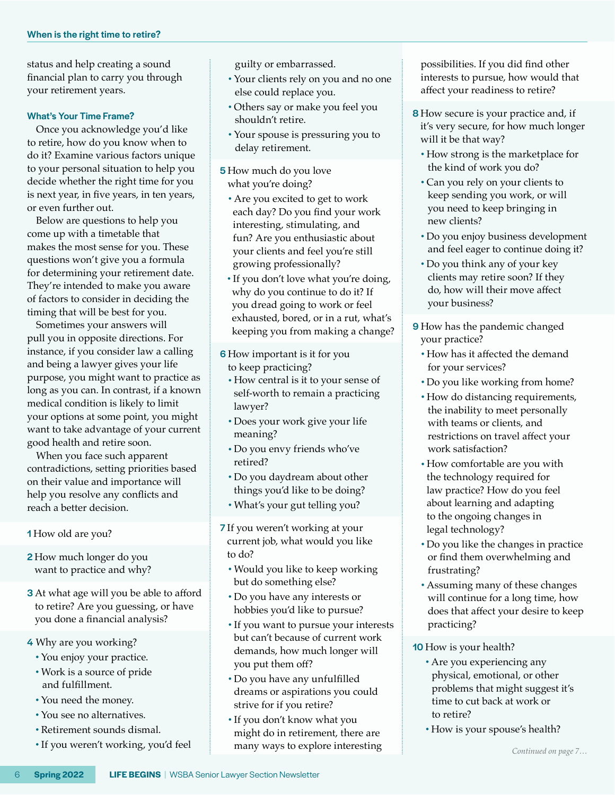status and help creating a sound financial plan to carry you through your retirement years.

## What's Your Time Frame?

Once you acknowledge you'd like to retire, how do you know when to do it? Examine various factors unique to your personal situation to help you decide whether the right time for you is next year, in five years, in ten years, or even further out.

Below are questions to help you come up with a timetable that makes the most sense for you. These questions won't give you a formula for determining your retirement date. They're intended to make you aware of factors to consider in deciding the timing that will be best for you.

Sometimes your answers will pull you in opposite directions. For instance, if you consider law a calling and being a lawyer gives your life purpose, you might want to practice as long as you can. In contrast, if a known medical condition is likely to limit your options at some point, you might want to take advantage of your current good health and retire soon.

When you face such apparent contradictions, setting priorities based on their value and importance will help you resolve any conflicts and reach a better decision.

**1** How old are you?

- 2 How much longer do you want to practice and why?
- **3** At what age will you be able to afford to retire? Are you guessing, or have you done a financial analysis?
- 4 Why are you working?
	- You enjoy your practice.
	- Work is a source of pride and fulfillment.
	- You need the money.
	- You see no alternatives.
	- Retirement sounds dismal.
	- If you weren't working, you'd feel

guilty or embarrassed.

- Your clients rely on you and no one else could replace you.
- Others say or make you feel you shouldn't retire.
- Your spouse is pressuring you to delay retirement.
- 5 How much do you love what you're doing?
- Are you excited to get to work each day? Do you find your work interesting, stimulating, and fun? Are you enthusiastic about your clients and feel you're still growing professionally?
- If you don't love what you're doing, why do you continue to do it? If you dread going to work or feel exhausted, bored, or in a rut, what's keeping you from making a change?
- 6 How important is it for you to keep practicing?
	- How central is it to your sense of self-worth to remain a practicing lawyer?
	- Does your work give your life meaning?
	- Do you envy friends who've retired?
	- Do you daydream about other things you'd like to be doing?
	- What's your gut telling you?
- 7 If you weren't working at your current job, what would you like to do?
	- Would you like to keep working but do something else?
	- Do you have any interests or hobbies you'd like to pursue?
	- If you want to pursue your interests but can't because of current work demands, how much longer will you put them off?
	- Do you have any unfulfilled dreams or aspirations you could strive for if you retire?
	- If you don't know what you might do in retirement, there are many ways to explore interesting

possibilities. If you did find other interests to pursue, how would that affect your readiness to retire?

- **8** How secure is your practice and, if it's very secure, for how much longer will it be that way?
	- How strong is the marketplace for the kind of work you do?
	- Can you rely on your clients to keep sending you work, or will you need to keep bringing in new clients?
	- Do you enjoy business development and feel eager to continue doing it?
	- Do you think any of your key clients may retire soon? If they do, how will their move affect your business?
- **9** How has the pandemic changed your practice?
	- How has it affected the demand for your services?
	- Do you like working from home?
	- How do distancing requirements, the inability to meet personally with teams or clients, and restrictions on travel affect your work satisfaction?
- How comfortable are you with the technology required for law practice? How do you feel about learning and adapting to the ongoing changes in legal technology?
- Do you like the changes in practice or find them overwhelming and frustrating?
- Assuming many of these changes will continue for a long time, how does that affect your desire to keep practicing?
- 10 How is your health?
	- Are you experiencing any physical, emotional, or other problems that might suggest it's time to cut back at work or to retire?
	- How is your spouse's health?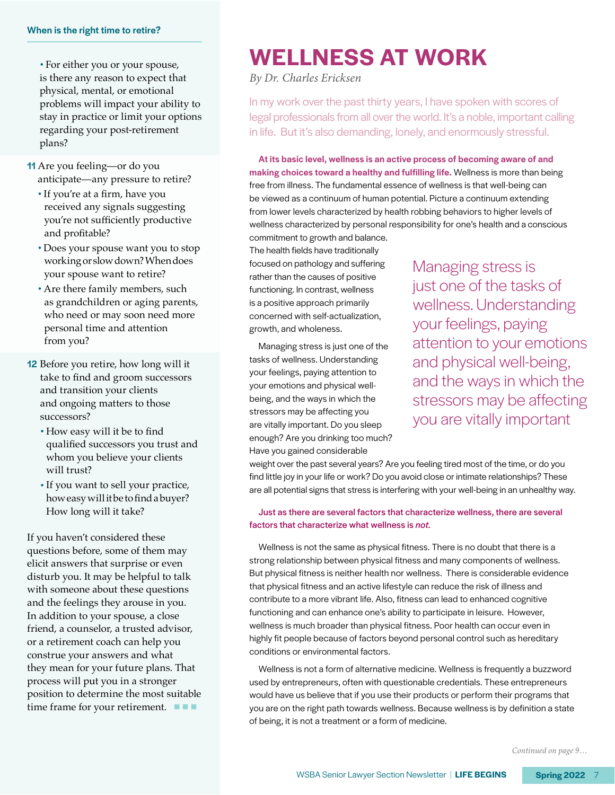#### When is the right time to retire?

• For either you or your spouse, is there any reason to expect that physical, mental, or emotional problems will impact your ability to stay in practice or limit your options regarding your post-retirement plans?

- 11 Are you feeling—or do you anticipate—any pressure to retire?
	- If you're at a firm, have you received any signals suggesting you're not sufficiently productive and profitable?
	- Does your spouse want you to stop working or slow down? When does your spouse want to retire?
	- Are there family members, such as grandchildren or aging parents, who need or may soon need more personal time and attention from you?
- 12 Before you retire, how long will it take to find and groom successors and transition your clients and ongoing matters to those successors?
	- How easy will it be to find qualified successors you trust and whom you believe your clients will trust?
	- If you want to sell your practice, how easy will it be to find a buyer? How long will it take?

If you haven't considered these questions before, some of them may elicit answers that surprise or even disturb you. It may be helpful to talk with someone about these questions and the feelings they arouse in you. In addition to your spouse, a close friend, a counselor, a trusted advisor, or a retirement coach can help you construe your answers and what they mean for your future plans. That process will put you in a stronger position to determine the most suitable time frame for your retirement.  $\blacksquare$ 

# **WELLNESS AT WORK**

*By Dr. Charles Ericksen*

In my work over the past thirty years, I have spoken with scores of legal professionals from all over the world. It's a noble, important calling in life. But it's also demanding, lonely, and enormously stressful.

At its basic level, wellness is an active process of becoming aware of and making choices toward a healthy and fulfilling life. Wellness is more than being free from illness. The fundamental essence of wellness is that well-being can be viewed as a continuum of human potential. Picture a continuum extending from lower levels characterized by health robbing behaviors to higher levels of wellness characterized by personal responsibility for one's health and a conscious commitment to growth and balance.

The health fields have traditionally focused on pathology and suffering rather than the causes of positive functioning. In contrast, wellness is a positive approach primarily concerned with self-actualization, growth, and wholeness.

Managing stress is just one of the tasks of wellness. Understanding your feelings, paying attention to your emotions and physical wellbeing, and the ways in which the stressors may be affecting you are vitally important. Do you sleep enough? Are you drinking too much? Have you gained considerable

Managing stress is just one of the tasks of wellness. Understanding your feelings, paying attention to your emotions and physical well-being, and the ways in which the stressors may be affecting you are vitally important

weight over the past several years? Are you feeling tired most of the time, or do you find little joy in your life or work? Do you avoid close or intimate relationships? These are all potential signs that stress is interfering with your well-being in an unhealthy way.

Just as there are several factors that characterize wellness, there are several factors that characterize what wellness is *not*.

Wellness is not the same as physical fitness. There is no doubt that there is a strong relationship between physical fitness and many components of wellness. But physical fitness is neither health nor wellness. There is considerable evidence that physical fitness and an active lifestyle can reduce the risk of illness and contribute to a more vibrant life. Also, fitness can lead to enhanced cognitive functioning and can enhance one's ability to participate in leisure. However, wellness is much broader than physical fitness. Poor health can occur even in highly fit people because of factors beyond personal control such as hereditary conditions or environmental factors.

Wellness is not a form of alternative medicine. Wellness is frequently a buzzword used by entrepreneurs, often with questionable credentials. These entrepreneurs would have us believe that if you use their products or perform their programs that you are on the right path towards wellness. Because wellness is by definition a state of being, it is not a treatment or a form of medicine.

*Continued on page 9…*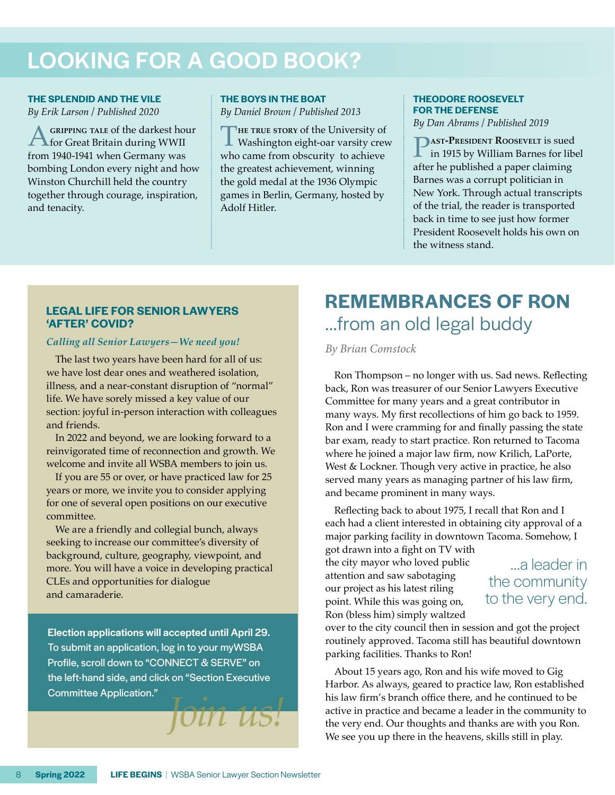# LOOKING FOR A GOOD BOOK?

# **THE SPLENDID AND THE VILE** *By Erik Larson / Published 2020*

**A** GRIPPING TALE of the darkest hour<br>for Great Britain during WWII from 1940-1941 when Germany was bombing London every night and how Winston Churchill held the country together through courage, inspiration, and tenacity.

## **THE BOYS IN THE BOAT**

*By Daniel Brown / Published 2013*

THE TRUE STORY of the University of Washington eight-oar varsity crew who came from obscurity to achieve the greatest achievement, winning the gold medal at the 1936 Olympic games in Berlin, Germany, hosted by Adolf Hitler.

# **THEODORE ROOSEVELT FOR THE DEFENSE**

*By Dan Abrams / Published 2019*

**PAST-PRESIDENT ROOSEVELT** is sued<br>in 1915 by William Barnes for libel after he published a paper claiming Barnes was a corrupt politician in New York. Through actual transcripts of the trial, the reader is transported back in time to see just how former President Roosevelt holds his own on the witness stand.

# **LEGAL LIFE FOR SENIOR LAWYERS 'AFTER' COVID?**

# *Calling all Senior Lawyers—We need you!*

The last two years have been hard for all of us: we have lost dear ones and weathered isolation, illness, and a near-constant disruption of "normal" life. We have sorely missed a key value of our section: joyful in-person interaction with colleagues and friends.

In 2022 and beyond, we are looking forward to a reinvigorated time of reconnection and growth. We welcome and invite all WSBA members to join us.

If you are 55 or over, or have practiced law for 25 years or more, we invite you to consider applying for one of several open positions on our executive committee.

We are a friendly and collegial bunch, always seeking to increase our committee's diversity of background, culture, geography, viewpoint, and more. You will have a voice in developing practical CLEs and opportunities for dialogue and camaraderie.

Election applications will accepted until April 29. To submit an application, log in to your myWSBA Profile, scroll down to "CONNECT & SERVE" on the left-hand side, and click on "Section Executive Committee Application."

# **REMEMBRANCES OF RON**  …from an old legal buddy

# *By Brian Comstock*

Ron Thompson – no longer with us. Sad news. Reflecting back, Ron was treasurer of our Senior Lawyers Executive Committee for many years and a great contributor in many ways. My first recollections of him go back to 1959. Ron and I were cramming for and finally passing the state bar exam, ready to start practice. Ron returned to Tacoma where he joined a major law firm, now Krilich, LaPorte, West & Lockner. Though very active in practice, he also served many years as managing partner of his law firm, and became prominent in many ways.

Reflecting back to about 1975, I recall that Ron and I each had a client interested in obtaining city approval of a major parking facility in downtown Tacoma. Somehow, I

got drawn into a fight on TV with the city mayor who loved public attention and saw sabotaging our project as his latest riling point. While this was going on, Ron (bless him) simply waltzed

# …a leader in the community to the very end.

over to the city council then in session and got the project routinely approved. Tacoma still has beautiful downtown parking facilities. Thanks to Ron!

About 15 years ago, Ron and his wife moved to Gig Harbor. As always, geared to practice law, Ron established his law firm's branch office there, and he continued to be active in practice and became a leader in the community to the very end. Our thoughts and thanks are with you Ron. We see you up there in the heavens, skills still in play.

*Join us!*